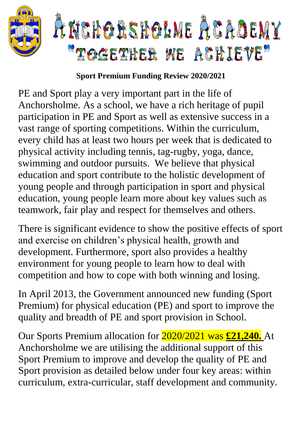

## **Sport Premium Funding Review 2020/2021**

PE and Sport play a very important part in the life of Anchorsholme. As a school, we have a rich heritage of pupil participation in PE and Sport as well as extensive success in a vast range of sporting competitions. Within the curriculum, every child has at least two hours per week that is dedicated to physical activity including tennis, tag-rugby, yoga, dance, swimming and outdoor pursuits. We believe that physical education and sport contribute to the holistic development of young people and through participation in sport and physical education, young people learn more about key values such as teamwork, fair play and respect for themselves and others.

There is significant evidence to show the positive effects of sport and exercise on children's physical health, growth and development. Furthermore, sport also provides a healthy environment for young people to learn how to deal with competition and how to cope with both winning and losing.

In April 2013, the Government announced new funding (Sport Premium) for physical education (PE) and sport to improve the quality and breadth of PE and sport provision in School.

Our Sports Premium allocation for 2020/2021 was **£21,240.** At Anchorsholme we are utilising the additional support of this Sport Premium to improve and develop the quality of PE and Sport provision as detailed below under four key areas: within curriculum, extra-curricular, staff development and community.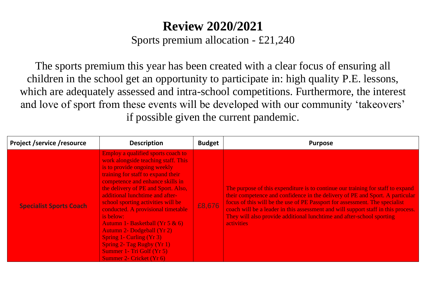## **Review 2020/2021**

Sports premium allocation - £21,240

The sports premium this year has been created with a clear focus of ensuring all children in the school get an opportunity to participate in: high quality P.E. lessons, which are adequately assessed and intra-school competitions. Furthermore, the interest and love of sport from these events will be developed with our community 'takeovers' if possible given the current pandemic.

| <b>Project /service /resource</b> | <b>Description</b>                                                                                                                                                                                                                                                                                                                                                                                                                                                                                                                                            | <b>Budget</b> | <b>Purpose</b>                                                                                                                                                                                                                                                                                                                                                                                                                     |
|-----------------------------------|---------------------------------------------------------------------------------------------------------------------------------------------------------------------------------------------------------------------------------------------------------------------------------------------------------------------------------------------------------------------------------------------------------------------------------------------------------------------------------------------------------------------------------------------------------------|---------------|------------------------------------------------------------------------------------------------------------------------------------------------------------------------------------------------------------------------------------------------------------------------------------------------------------------------------------------------------------------------------------------------------------------------------------|
| <b>Specialist Sports Coach</b>    | Employ a qualified sports coach to<br>work alongside teaching staff. This<br>is to provide ongoing weekly<br>training for staff to expand their<br>competence and enhance skills in<br>the delivery of PE and Sport. Also,<br>additional lunchtime and after-<br>school sporting activities will be<br>conducted. A provisional timetable<br>is below:<br>Autumn 1- Basketball (Yr $5 & 6$ )<br><b>Autumn 2- Dodgeball (Yr 2)</b><br>Spring 1- Curling (Yr 3)<br>Spring 2- Tag Rugby $(Yr 1)$<br>Summer 1- Tri Golf (Yr 5)<br><b>Summer 2- Cricket (Yr 6)</b> | £8,676        | The purpose of this expenditure is to continue our training for staff to expand<br>their competence and confidence in the delivery of PE and Sport. A particular<br>focus of this will be the use of PE Passport for assessment. The specialist<br>coach will be a leader in this assessment and will support staff in this process.<br>They will also provide additional lunchtime and after-school sporting<br><b>activities</b> |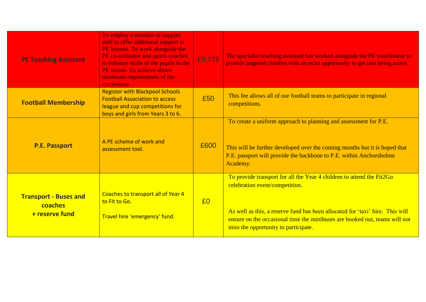| <b>PE Teaching Assistant</b>                              | To employ a member of support<br>staff to offer additional support in<br>PE lessons. To work alongside the<br>PE co-ordinator and sports coaches<br>to enhance skills of the pupils in the<br>PE lesson. To achieve above<br>minimum requirements of the<br>curriculum. | £9,776 | The specialist teaching assistant has worked alongside the PE coordinator to<br>provide targeted children with an extra opportunity to get into being active.                                                                                                                                                  |
|-----------------------------------------------------------|-------------------------------------------------------------------------------------------------------------------------------------------------------------------------------------------------------------------------------------------------------------------------|--------|----------------------------------------------------------------------------------------------------------------------------------------------------------------------------------------------------------------------------------------------------------------------------------------------------------------|
| <b>Football Membership</b>                                | <b>Register with Blackpool Schools</b><br><b>Football Association to access</b><br>league and cup competitions for<br>boys and girls from Years 3 to 6.                                                                                                                 | £50    | This fee allows all of our football teams to participate in regional<br>competitions.                                                                                                                                                                                                                          |
| <b>P.E. Passport</b>                                      | A PE scheme of work and<br>assessment tool.                                                                                                                                                                                                                             | £600   | To create a uniform approach to planning and assessment for P.E.<br>This will be further developed over the coming months but it is hoped that<br>P.E. passport will provide the backbone to P.E. within Anchorsholme<br>Academy.                                                                              |
| <b>Transport - Buses and</b><br>coaches<br>+ reserve fund | Coaches to transport all of Year 4<br>to Fit to Go.<br>Travel hire 'emergency' fund.                                                                                                                                                                                    | $E_0$  | To provide transport for all the Year 4 children to attend the Fit2Go<br>celebration event/competition.<br>As well as this, a reserve fund has been allocated for 'taxi' hire. This will<br>ensure on the occasional time the minibuses are booked out, teams will not<br>miss the opportunity to participate. |